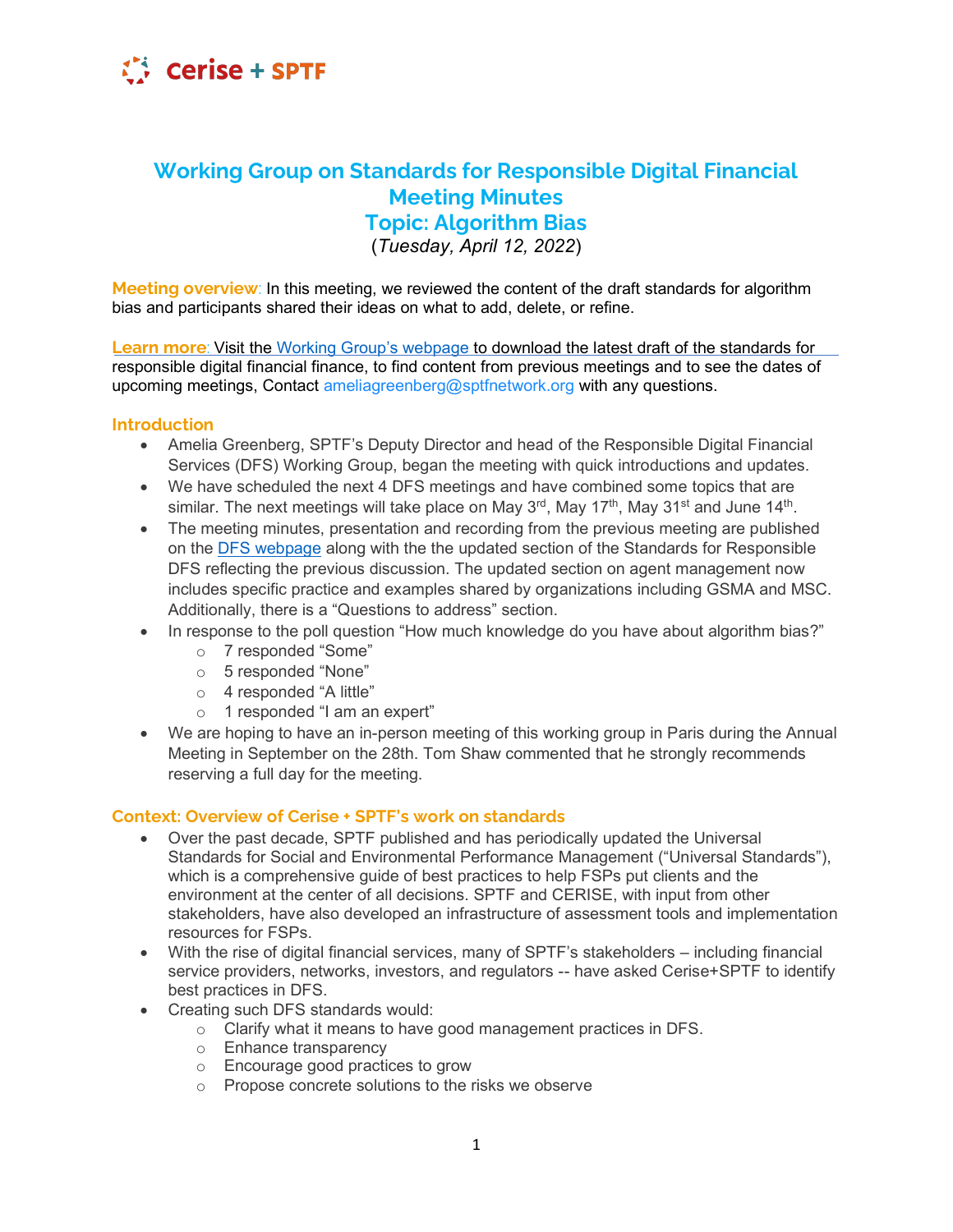

# **Working Group on Standards for Responsible Digital Financial Meeting Minutes Topic: Algorithm Bias**

(*Tuesday, April 12, 2022*)

**Meeting overview**: In this meeting, we reviewed the content of the draft standards for algorithm bias and participants shared their ideas on what to add, delete, or refine.

**Learn more**: Visit the Working Group's webpage to download the latest draft of the standards for responsible digital financial finance, to find content from previous meetings and to see the dates of upcoming meetings, Contact ameliagreenberg@sptfnetwork.org with any questions.

#### **Introduction**

- Amelia Greenberg, SPTF's Deputy Director and head of the Responsible Digital Financial Services (DFS) Working Group, began the meeting with quick introductions and updates.
- We have scheduled the next 4 DFS meetings and have combined some topics that are similar. The next meetings will take place on May  $3<sup>rd</sup>$ , May  $17<sup>th</sup>$ , May  $31<sup>st</sup>$  and June  $14<sup>th</sup>$ .
- The meeting minutes, presentation and recording from the previous meeting are published on the [DFS webpage](https://sptf.info/working-groups/dfs-standards) along with the the updated section of the Standards for Responsible DFS reflecting the previous discussion. The updated section on agent management now includes specific practice and examples shared by organizations including GSMA and MSC. Additionally, there is a "Questions to address" section.
- In response to the poll question "How much knowledge do you have about algorithm bias?"
	- o 7 responded "Some"
	- $\circ$  5 responded "None"
	- $\circ$  4 responded "A little"
	- $\circ$  1 responded "I am an expert"
- We are hoping to have an in-person meeting of this working group in Paris during the Annual Meeting in September on the 28th. Tom Shaw commented that he strongly recommends reserving a full day for the meeting.

#### **Sontext: Overview of Cerise + SPTF's work on standards**

- Over the past decade, SPTF published and has periodically updated the Universal Standards for Social and Environmental Performance Management ("Universal Standards"). which is a comprehensive guide of best practices to help FSPs put clients and the environment at the center of all decisions. SPTF and CERISE, with input from other stakeholders, have also developed an infrastructure of assessment tools and implementation resources for FSPs.
- With the rise of digital financial services, many of SPTF's stakeholders  $-$  including financial service providers, networks, investors, and regulators -- have asked Cerise+SPTF to identify best practices in DFS.
- Creating such DFS standards would:
	- o Clarify what it means to have good management practices in DFS.
	- o Enhance transparency
	- o Encourage good practices to grow
	- o Propose concrete solutions to the risks we observe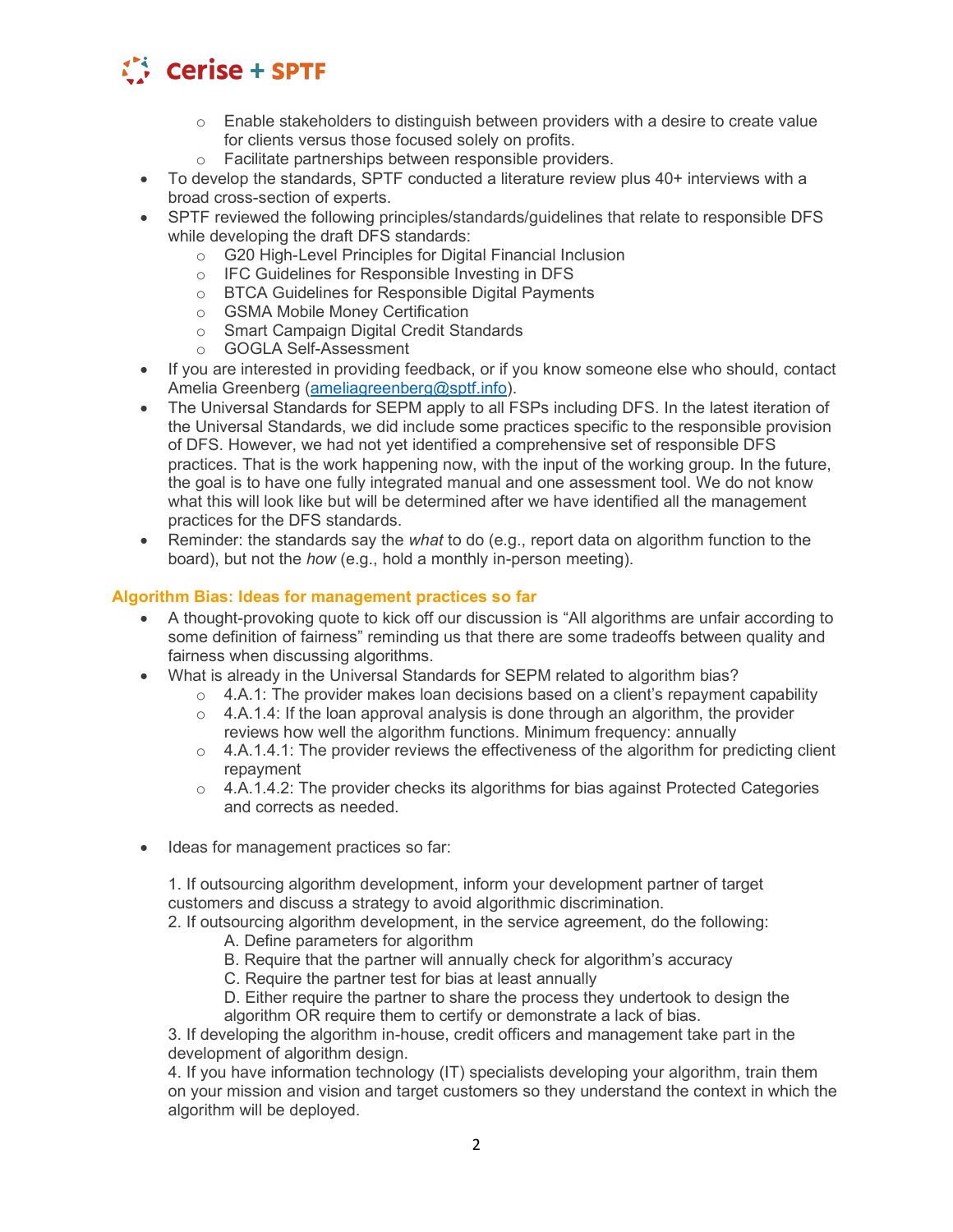

- $\circ$  Enable stakeholders to distinguish between providers with a desire to create value for clients versus those focused solely on profits.
- o Facilitate partnerships between responsible providers.
- $\bullet$  To develop the standards, SPTF conducted a literature review plus 40+ interviews with a broad cross-section of experts.
- SPTF reviewed the following principles/standards/guidelines that relate to responsible DFS while developing the draft DFS standards:
	- o G20 High-Level Principles for Digital Financial Inclusion
	- o IFC Guidelines for Responsible Investing in DFS
	- o BTCA Guidelines for Responsible Digital Payments
	- o GSMA Mobile Money Certification
	- o Smart Campaign Digital Credit Standards
	- o GOGLA Self-Assessment
- If you are interested in providing feedback, or if you know someone else who should, contact Amelia Greenberg [\(ameliagreenberg@sptf.info\)](mailto:ameliagreenberg@sptf.info).
- The Universal Standards for SEPM apply to all FSPs including DFS. In the latest iteration of the Universal Standards, we did include some practices specific to the responsible provision of DFS. However, we had not yet identified a comprehensive set of responsible DFS practices. That is the work happening now, with the input of the working group. In the future, the goal is to have one fully integrated manual and one assessment tool. We do not know what this will look like but will be determined after we have identified all the management practices for the DFS standards.
- Reminder: the standards say the *what* to do (e.g., report data on algorithm function to the board), but not the *how* (e.g., hold a monthly in-person meeting).

### **Algorithm Bias: Ideas for management practices so far**

- A thought-provoking quote to kick off our discussion is "All algorithms are unfair according to some definition of fairness" reminding us that there are some tradeoffs between quality and fairness when discussing algorithms.
- What is already in the Universal Standards for SEPM related to algorithm bias?
	- $\circ$  4.A.1: The provider makes loan decisions based on a client's repayment capability
	- $\circ$  4.A.1.4: If the loan approval analysis is done through an algorithm, the provider reviews how well the algorithm functions. Minimum frequency: annually
	- $\circ$  4.A.1.4.1: The provider reviews the effectiveness of the algorithm for predicting client repayment
	- $\circ$  4.A.1.4.2: The provider checks its algorithms for bias against Protected Categories and corrects as needed.
- Ideas for management practices so far:

1. If outsourcing algorithm development, inform your development partner of target customers and discuss a strategy to avoid algorithmic discrimination.

- 2. If outsourcing algorithm development, in the service agreement, do the following:
	- A. Define parameters for algorithm
	- B. Require that the partner will annually check for algorithm's accuracy
	- C. Require the partner test for bias at least annually
	- D. Either require the partner to share the process they undertook to design the algorithm OR require them to certify or demonstrate a lack of bias.

3. If developing the algorithm in-house, credit officers and management take part in the development of algorithm design.

4. If you have information technology (IT) specialists developing your algorithm, train them on your mission and vision and target customers so they understand the context in which the algorithm will be deployed.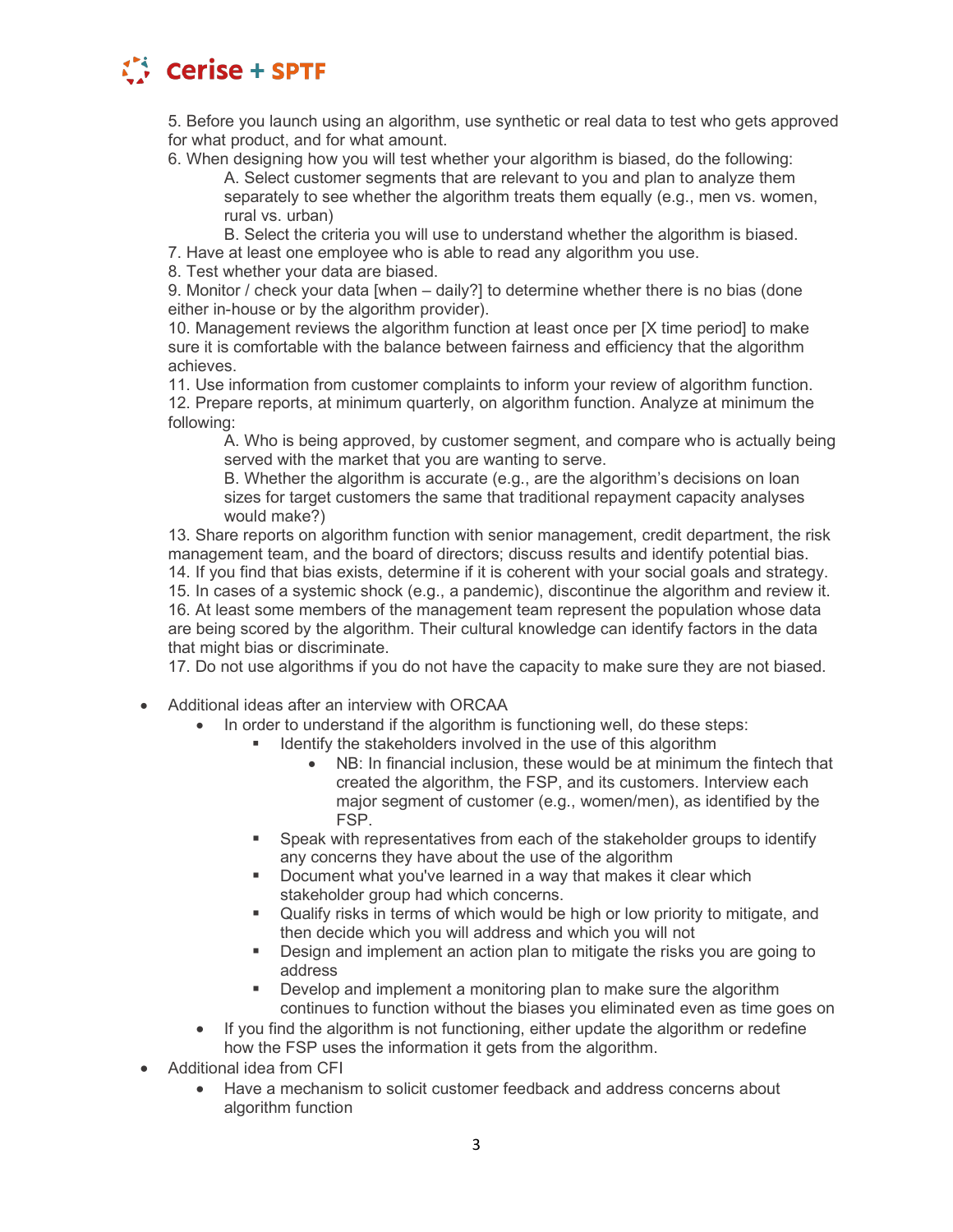

5. Before you launch using an algorithm, use synthetic or real data to test who gets approved for what product, and for what amount.

6. When designing how you will test whether your algorithm is biased, do the following: A. Select customer segments that are relevant to you and plan to analyze them separately to see whether the algorithm treats them equally (e.g., men vs. women, rural vs. urban)

B. Select the criteria you will use to understand whether the algorithm is biased.

7. Have at least one employee who is able to read any algorithm you use.

8. Test whether your data are biased.

9. Monitor / check your data [when  $-$  daily?] to determine whether there is no bias (done either in-house or by the algorithm provider).

10. Management reviews the algorithm function at least once per [X time period] to make sure it is comfortable with the balance between fairness and efficiency that the algorithm achieves.

11. Use information from customer complaints to inform your review of algorithm function. 12. Prepare reports, at minimum quarterly, on algorithm function. Analyze at minimum the following:

A. Who is being approved, by customer segment, and compare who is actually being served with the market that you are wanting to serve.

B. Whether the algorithm is accurate (e.g., are the algorithm's decisions on loan sizes for target customers the same that traditional repayment capacity analyses would make?)

13. Share reports on algorithm function with senior management, credit department, the risk management team, and the board of directors; discuss results and identify potential bias. 14. If you find that bias exists, determine if it is coherent with your social goals and strategy. 15. In cases of a systemic shock (e.g., a pandemic), discontinue the algorithm and review it. 16. At least some members of the management team represent the population whose data are being scored by the algorithm. Their cultural knowledge can identify factors in the data that might bias or discriminate.

17. Do not use algorithms if you do not have the capacity to make sure they are not biased.

- Additional ideas after an interview with ORCAA
	- In order to understand if the algorithm is functioning well, do these steps:
		- Identify the stakeholders involved in the use of this algorithm
			- NB: In financial inclusion, these would be at minimum the fintech that created the algorithm, the FSP, and its customers. Interview each major segment of customer (e.g., women/men), as identified by the FSP.
		- **Speak with representatives from each of the stakeholder groups to identify** any concerns they have about the use of the algorithm
		- **Document what you've learned in a way that makes it clear which** stakeholder group had which concerns.
		- Qualify risks in terms of which would be high or low priority to mitigate, and then decide which you will address and which you will not
		- Design and implement an action plan to mitigate the risks you are going to address
		- **Develop and implement a monitoring plan to make sure the algorithm** continues to function without the biases you eliminated even as time goes on
	- If you find the algorithm is not functioning, either update the algorithm or redefine how the FSP uses the information it gets from the algorithm.
- Additional idea from CFI
	- Have a mechanism to solicit customer feedback and address concerns about algorithm function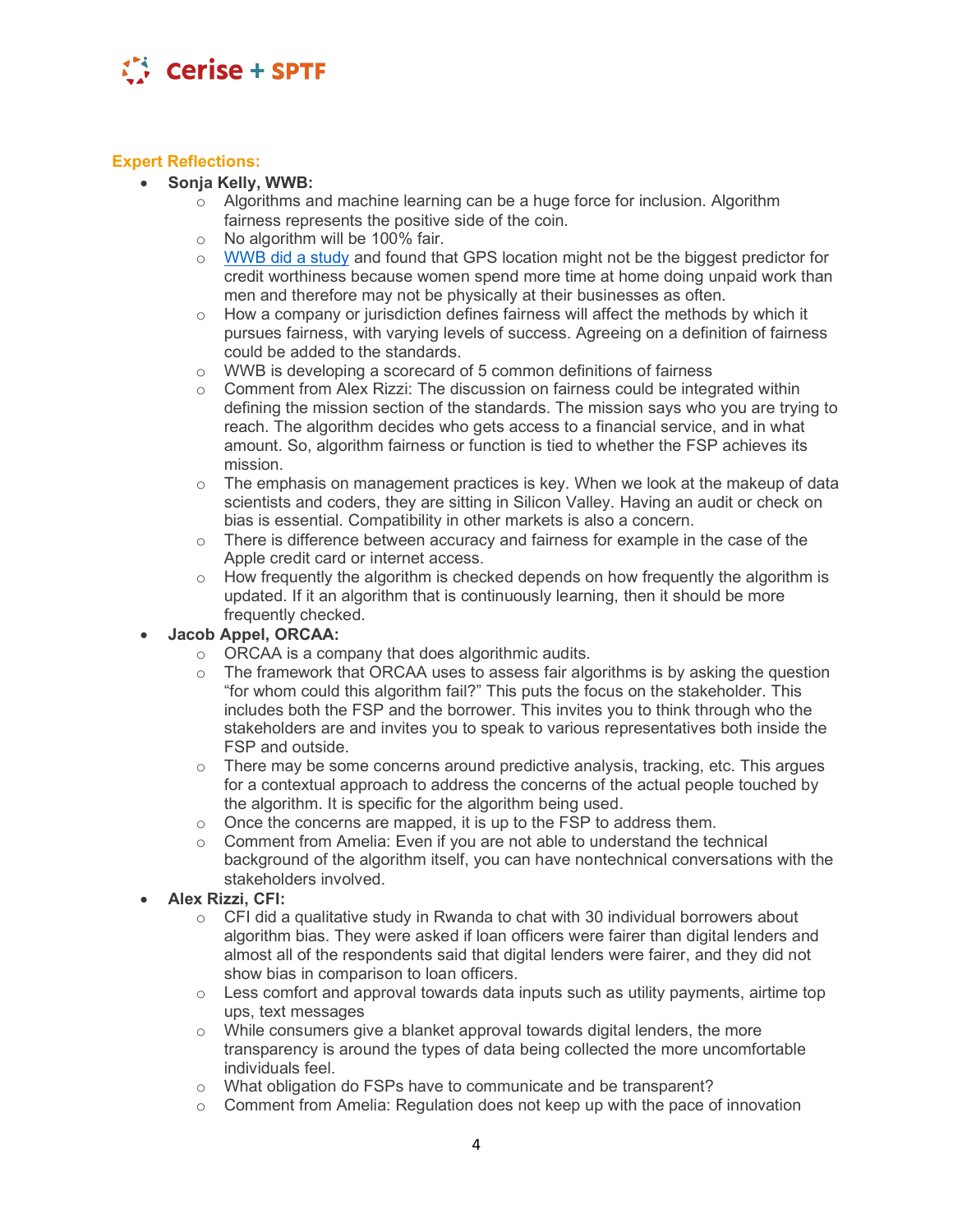

## **Expert Reflections:**

- x **Sonja Kelly, WWB:** 
	- $\circ$  Algorithms and machine learning can be a huge force for inclusion. Algorithm fairness represents the positive side of the coin.
	- o No algorithm will be 100% fair.
	- o [WWB did a study](https://www.womensworldbanking.org/wp-content/uploads/2021/02/2021_Algorithmic_Bias_Report.pdf) and found that GPS location might not be the biggest predictor for credit worthiness because women spend more time at home doing unpaid work than men and therefore may not be physically at their businesses as often.
	- $\circ$  How a company or jurisdiction defines fairness will affect the methods by which it pursues fairness, with varying levels of success. Agreeing on a definition of fairness could be added to the standards.
	- o WWB is developing a scorecard of 5 common definitions of fairness
	- $\circ$  Comment from Alex Rizzi: The discussion on fairness could be integrated within defining the mission section of the standards. The mission says who you are trying to reach. The algorithm decides who gets access to a financial service, and in what amount. So, algorithm fairness or function is tied to whether the FSP achieves its mission.
	- $\circ$  The emphasis on management practices is key. When we look at the makeup of data scientists and coders, they are sitting in Silicon Valley. Having an audit or check on bias is essential. Compatibility in other markets is also a concern.
	- o There is difference between accuracy and fairness for example in the case of the Apple credit card or internet access.
	- $\circ$  How frequently the algorithm is checked depends on how frequently the algorithm is updated. If it an algorithm that is continuously learning, then it should be more frequently checked.

### x **Jacob Appel, ORCAA:**

- $\circ$  ORCAA is a company that does algorithmic audits.<br> $\circ$  The framework that ORCAA uses to assess fair alge
- The framework that ORCAA uses to assess fair algorithms is by asking the question "for whom could this algorithm fail?" This puts the focus on the stakeholder. This includes both the FSP and the borrower. This invites you to think through who the stakeholders are and invites you to speak to various representatives both inside the FSP and outside.
- $\circ$  There may be some concerns around predictive analysis, tracking, etc. This argues for a contextual approach to address the concerns of the actual people touched by the algorithm. It is specific for the algorithm being used.
- o Once the concerns are mapped, it is up to the FSP to address them.
- $\circ$  Comment from Amelia: Even if you are not able to understand the technical background of the algorithm itself, you can have nontechnical conversations with the stakeholders involved.
- x **Alex Rizzi, CFI:**
	- $\circ$  CFI did a qualitative study in Rwanda to chat with 30 individual borrowers about algorithm bias. They were asked if loan officers were fairer than digital lenders and almost all of the respondents said that digital lenders were fairer, and they did not show bias in comparison to loan officers.
	- $\circ$  Less comfort and approval towards data inputs such as utility payments, airtime top ups, text messages
	- $\circ$  While consumers give a blanket approval towards digital lenders, the more transparency is around the types of data being collected the more uncomfortable individuals feel.
	- o What obligation do FSPs have to communicate and be transparent?
	- $\circ$  Comment from Amelia: Regulation does not keep up with the pace of innovation